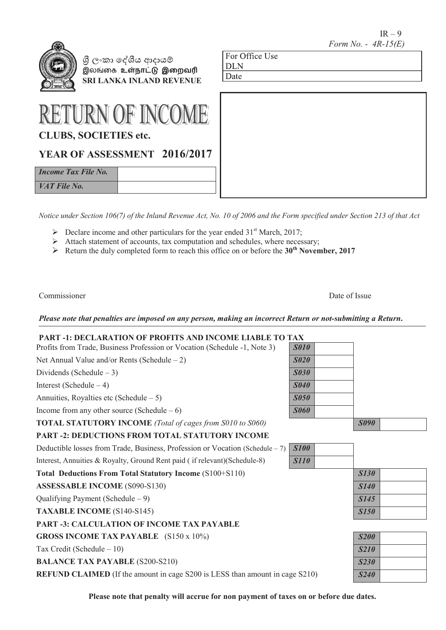$IR - 9$  *Form No. - 4R-15(E)*

| Ж |
|---|
|   |
|   |
|   |

 **SRI LANKA INLAND REVENUE**� ලංකා ෙ��ය ආදාය� இலங்ைக **உள்நாட்� இைறவ�**

| <b>RETURN OF INCOME</b>      |  |
|------------------------------|--|
| <b>CLUBS, SOCIETIES etc.</b> |  |

# **YEAR OF ASSESSMENT 2016/2017**

*Income Tax File No. VAT File No.*

*Notice under Section 106(7) of the Inland Revenue Act, No. 10 of 2006 and the Form specified under Section 213 of that Act*

For Office Use

DLN Date

For Office Use

**DLN** Date

- $\triangleright$  Declare income and other particulars for the year ended 31<sup>st</sup> March, 2017;
- $\triangleright$  Attach statement of accounts, tax computation and schedules, where necessary;
- Return the duly completed form to reach this office on or before the **30th November, 2017**

Commissioner Date of Issue

*Please note that penalties are imposed on any person, making an incorrect Return or not-submitting a Return***.**

## **PART -1: DECLARATION OF PROFITS AND INCOME LIABLE TO TAX**

| Profits from Trade, Business Profession or Vocation (Schedule -1, Note 3)           | <b>S010</b> |             |  |
|-------------------------------------------------------------------------------------|-------------|-------------|--|
| Net Annual Value and/or Rents (Schedule $-2$ )                                      | <b>S020</b> |             |  |
| Dividends (Schedule $-3$ )                                                          | <b>S030</b> |             |  |
| Interest (Schedule $-4$ )                                                           | <b>S040</b> |             |  |
| Annuities, Royalties etc (Schedule $-5$ )                                           | <b>S050</b> |             |  |
| Income from any other source (Schedule $-6$ )                                       | <b>S060</b> |             |  |
| <b>TOTAL STATUTORY INCOME</b> (Total of cages from S010 to S060)                    |             | <b>S090</b> |  |
| <b>PART -2: DEDUCTIONS FROM TOTAL STATUTORY INCOME</b>                              |             |             |  |
| Deductible losses from Trade, Business, Profession or Vocation (Schedule – 7)       | <b>S100</b> |             |  |
| Interest, Annuities & Royalty, Ground Rent paid (if relevant) (Schedule-8)          | <b>S110</b> |             |  |
| Total Deductions From Total Statutory Income (S100+S110)                            |             | <b>S130</b> |  |
| <b>ASSESSABLE INCOME (S090-S130)</b>                                                |             | <b>S140</b> |  |
| Qualifying Payment (Schedule $-9$ )                                                 |             | S145        |  |
| <b>TAXABLE INCOME (S140-S145)</b>                                                   |             | <b>S150</b> |  |
| <b>PART -3: CALCULATION OF INCOME TAX PAYABLE</b>                                   |             |             |  |
| <b>GROSS INCOME TAX PAYABLE</b> (S150 x 10%)                                        |             | <b>S200</b> |  |
| Tax Credit (Schedule $-10$ )                                                        |             | <b>S210</b> |  |
| <b>BALANCE TAX PAYABLE (S200-S210)</b>                                              |             | <b>S230</b> |  |
| <b>REFUND CLAIMED</b> (If the amount in cage S200 is LESS than amount in cage S210) |             | <b>S240</b> |  |

**Please note that penalty will accrue for non payment of taxes on or before due dates.**